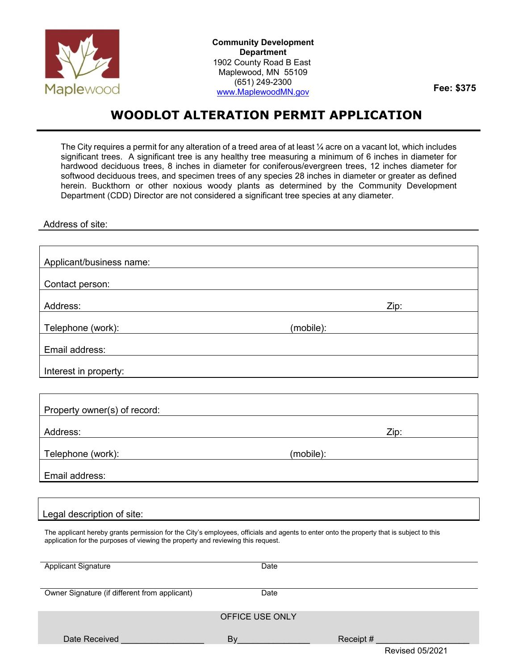

**Community Development Department**  1902 County Road B East Maplewood, MN 55109 (651) 249-2300 [www.MaplewoodMN.gov](http://www.maplewoodmn.gov/) **Fee: \$375**

## **WOODLOT ALTERATION PERMIT APPLICATION**

The City requires a permit for any alteration of a treed area of at least ¼ acre on a vacant lot, which includes significant trees. A significant tree is any healthy tree measuring a minimum of 6 inches in diameter for hardwood deciduous trees, 8 inches in diameter for coniferous/evergreen trees, 12 inches diameter for softwood deciduous trees, and specimen trees of any species 28 inches in diameter or greater as defined herein. Buckthorn or other noxious woody plants as determined by the Community Development Department (CDD) Director are not considered a significant tree species at any diameter.

Address of site:

| Applicant/business name:                                                                                                                                                                                                             |                                         |                                                    |
|--------------------------------------------------------------------------------------------------------------------------------------------------------------------------------------------------------------------------------------|-----------------------------------------|----------------------------------------------------|
| Contact person:<br><u> 1989 - Jan Samuel Barbara, margaret e populari e populari e populari e populari e populari e populari e pop</u>                                                                                               |                                         |                                                    |
| Address:                                                                                                                                                                                                                             |                                         | Zip:                                               |
| Telephone (work): www.adview.com/www.adview.com/www.adview.com/                                                                                                                                                                      |                                         |                                                    |
| Email address:<br><u> 1980 - Johann Barbara, martin amerikan basal dan berasal dalam basal dan berasal dan berasal dan berasal dan</u>                                                                                               |                                         |                                                    |
| Interest in property: <u>contract and a set of the set of the set of the set of the set of the set of the set of the set of the set of the set of the set of the set of the set of the set of the set of the set of the set of t</u> |                                         |                                                    |
|                                                                                                                                                                                                                                      |                                         |                                                    |
| Property owner(s) of record:                                                                                                                                                                                                         |                                         | <u> 1989 - John Stein, Amerikaansk politiker (</u> |
| Address:                                                                                                                                                                                                                             |                                         | Zip:                                               |
| Telephone (work): will be a series of the series of the series of the series of the series of the series of the                                                                                                                      |                                         |                                                    |
| Email address:                                                                                                                                                                                                                       | <u> 1980 - Johann Barbara, martin a</u> |                                                    |
|                                                                                                                                                                                                                                      |                                         |                                                    |
| Legal description of site:                                                                                                                                                                                                           |                                         |                                                    |
| The applicant hereby grants permission for the City's employees, officials and agents to enter onto the property that is subject to this<br>application for the purposes of viewing the property and reviewing this request.         |                                         |                                                    |
|                                                                                                                                                                                                                                      |                                         |                                                    |
| <b>Applicant Signature</b>                                                                                                                                                                                                           | Date                                    |                                                    |
| Owner Signature (if different from applicant)                                                                                                                                                                                        | Date                                    |                                                    |
| OFFICE USE ONLY                                                                                                                                                                                                                      |                                         |                                                    |
| Date Received                                                                                                                                                                                                                        | <b>By</b>                               | Receipt #                                          |
|                                                                                                                                                                                                                                      |                                         | <b>Revised 05/2021</b>                             |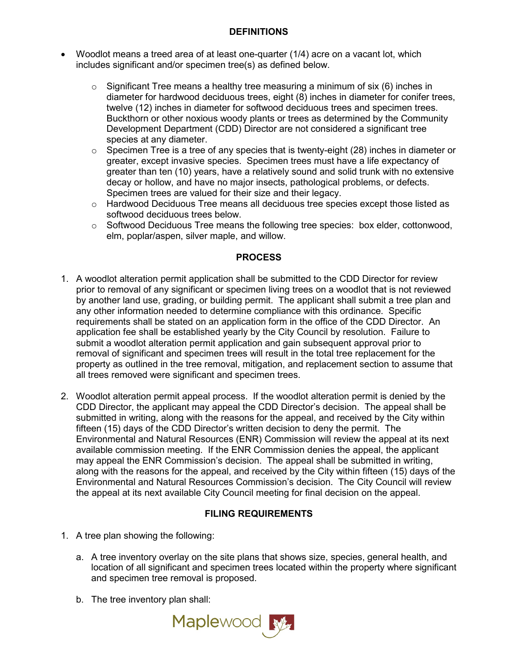## **DEFINITIONS**

- Woodlot means a treed area of at least one-quarter (1/4) acre on a vacant lot, which includes significant and/or specimen tree(s) as defined below.
	- $\circ$  Significant Tree means a healthy tree measuring a minimum of six (6) inches in diameter for hardwood deciduous trees, eight (8) inches in diameter for conifer trees, twelve (12) inches in diameter for softwood deciduous trees and specimen trees. Buckthorn or other noxious woody plants or trees as determined by the Community Development Department (CDD) Director are not considered a significant tree species at any diameter.
	- $\circ$  Specimen Tree is a tree of any species that is twenty-eight (28) inches in diameter or greater, except invasive species. Specimen trees must have a life expectancy of greater than ten (10) years, have a relatively sound and solid trunk with no extensive decay or hollow, and have no major insects, pathological problems, or defects. Specimen trees are valued for their size and their legacy.
	- $\circ$  Hardwood Deciduous Tree means all deciduous tree species except those listed as softwood deciduous trees below.
	- $\circ$  Softwood Deciduous Tree means the following tree species: box elder, cottonwood, elm, poplar/aspen, silver maple, and willow.

## **PROCESS**

- 1. A woodlot alteration permit application shall be submitted to the CDD Director for review prior to removal of any significant or specimen living trees on a woodlot that is not reviewed by another land use, grading, or building permit. The applicant shall submit a tree plan and any other information needed to determine compliance with this ordinance. Specific requirements shall be stated on an application form in the office of the CDD Director. An application fee shall be established yearly by the City Council by resolution. Failure to submit a woodlot alteration permit application and gain subsequent approval prior to removal of significant and specimen trees will result in the total tree replacement for the property as outlined in the tree removal, mitigation, and replacement section to assume that all trees removed were significant and specimen trees.
- 2. Woodlot alteration permit appeal process. If the woodlot alteration permit is denied by the CDD Director, the applicant may appeal the CDD Director's decision. The appeal shall be submitted in writing, along with the reasons for the appeal, and received by the City within fifteen (15) days of the CDD Director's written decision to deny the permit. The Environmental and Natural Resources (ENR) Commission will review the appeal at its next available commission meeting. If the ENR Commission denies the appeal, the applicant may appeal the ENR Commission's decision. The appeal shall be submitted in writing, along with the reasons for the appeal, and received by the City within fifteen (15) days of the Environmental and Natural Resources Commission's decision. The City Council will review the appeal at its next available City Council meeting for final decision on the appeal.

## **FILING REQUIREMENTS**

- 1. A tree plan showing the following:
	- a. A tree inventory overlay on the site plans that shows size, species, general health, and location of all significant and specimen trees located within the property where significant and specimen tree removal is proposed.
	- b. The tree inventory plan shall:

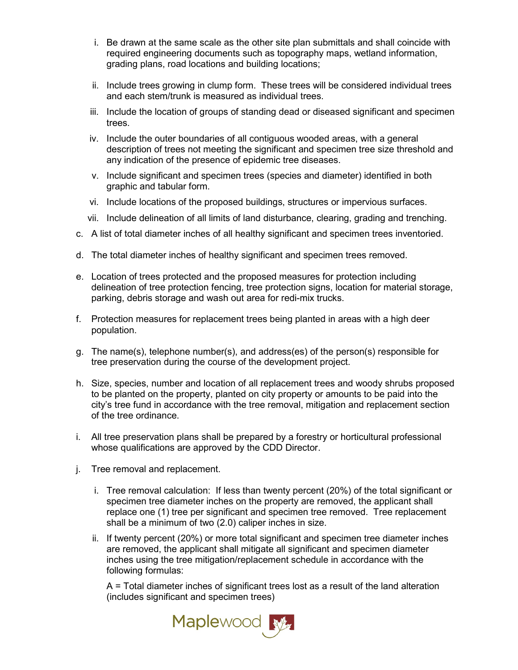- i. Be drawn at the same scale as the other site plan submittals and shall coincide with required engineering documents such as topography maps, wetland information, grading plans, road locations and building locations;
- ii. Include trees growing in clump form. These trees will be considered individual trees and each stem/trunk is measured as individual trees.
- iii. Include the location of groups of standing dead or diseased significant and specimen trees.
- iv. Include the outer boundaries of all contiguous wooded areas, with a general description of trees not meeting the significant and specimen tree size threshold and any indication of the presence of epidemic tree diseases.
- v. Include significant and specimen trees (species and diameter) identified in both graphic and tabular form.
- vi. Include locations of the proposed buildings, structures or impervious surfaces.
- vii. Include delineation of all limits of land disturbance, clearing, grading and trenching.
- c. A list of total diameter inches of all healthy significant and specimen trees inventoried.
- d. The total diameter inches of healthy significant and specimen trees removed.
- e. Location of trees protected and the proposed measures for protection including delineation of tree protection fencing, tree protection signs, location for material storage, parking, debris storage and wash out area for redi-mix trucks.
- f. Protection measures for replacement trees being planted in areas with a high deer population.
- g. The name(s), telephone number(s), and address(es) of the person(s) responsible for tree preservation during the course of the development project.
- h. Size, species, number and location of all replacement trees and woody shrubs proposed to be planted on the property, planted on city property or amounts to be paid into the city's tree fund in accordance with the tree removal, mitigation and replacement section of the tree ordinance.
- i. All tree preservation plans shall be prepared by a forestry or horticultural professional whose qualifications are approved by the CDD Director.
- j. Tree removal and replacement.
	- i. Tree removal calculation: If less than twenty percent (20%) of the total significant or specimen tree diameter inches on the property are removed, the applicant shall replace one (1) tree per significant and specimen tree removed. Tree replacement shall be a minimum of two (2.0) caliper inches in size.
	- ii. If twenty percent (20%) or more total significant and specimen tree diameter inches are removed, the applicant shall mitigate all significant and specimen diameter inches using the tree mitigation/replacement schedule in accordance with the following formulas:

A = Total diameter inches of significant trees lost as a result of the land alteration (includes significant and specimen trees)